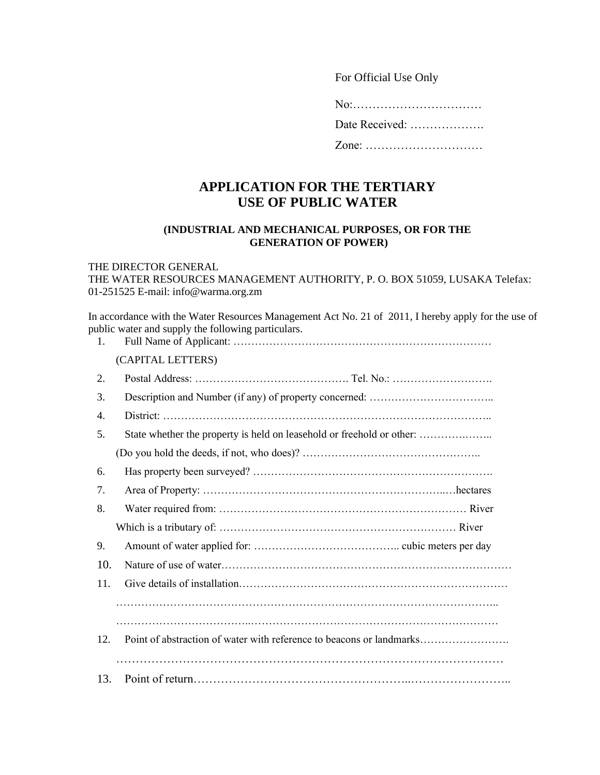For Official Use Only

No:……………………………

Date Received: ……………….

Zone: …………………………

## **APPLICATION FOR THE TERTIARY USE OF PUBLIC WATER**

## **(INDUSTRIAL AND MECHANICAL PURPOSES, OR FOR THE GENERATION OF POWER)**

## THE DIRECTOR GENERAL

THE WATER RESOURCES MANAGEMENT AUTHORITY, P. O. BOX 51059, LUSAKA Telefax: 01-251525 E-mail: info@warma.org.zm

In accordance with the Water Resources Management Act No. 21 of 2011, I hereby apply for the use of public water and supply the following particulars.

| 1.  |                                                                       |
|-----|-----------------------------------------------------------------------|
|     | (CAPITAL LETTERS)                                                     |
| 2.  |                                                                       |
| 3.  |                                                                       |
| 4.  |                                                                       |
| 5.  | State whether the property is held on leasehold or freehold or other: |
|     |                                                                       |
| 6.  |                                                                       |
| 7.  |                                                                       |
| 8.  |                                                                       |
|     |                                                                       |
| 9.  |                                                                       |
| 10. |                                                                       |
| 11. |                                                                       |
|     |                                                                       |
|     |                                                                       |
| 12. | Point of abstraction of water with reference to beacons or landmarks  |
|     |                                                                       |
| 13. |                                                                       |